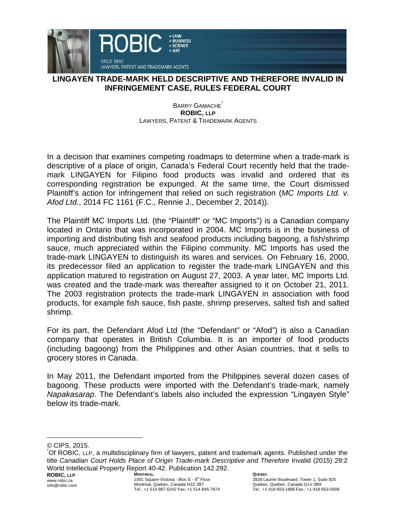

## **LINGAYEN TRADE-MARK HELD DESCRIPTIVE AND THEREFORE INVALID IN INFRINGEMENT CASE, RULES FEDERAL COURT**

## BARRY GAMACHE **ROBIC, LLP** LAWYERS, PATENT & TRADEMARK AGENTS

In a decision that examines competing roadmaps to determine when a trade-mark is descriptive of a place of origin, Canada's Federal Court recently held that the trademark LINGAYEN for Filipino food products was invalid and ordered that its corresponding registration be expunged. At the same time, the Court dismissed Plaintiff's action for infringement that relied on such registration (MC Imports Ltd. v. Afod Ltd., 2014 FC 1161 (F.C., Rennie J., December 2, 2014)).

The Plaintiff MC Imports Ltd. (the "Plaintiff" or "MC Imports") is a Canadian company located in Ontario that was incorporated in 2004. MC Imports is in the business of importing and distributing fish and seafood products including bagoong, a fish/shrimp sauce, much appreciated within the Filipino community. MC Imports has used the trade-mark LINGAYEN to distinguish its wares and services. On February 16, 2000, its predecessor filed an application to register the trade-mark LINGAYEN and this application matured to registration on August 27, 2003. A year later, MC Imports Ltd. was created and the trade-mark was thereafter assigned to it on October 21, 2011. The 2003 registration protects the trade-mark LINGAYEN in association with food products, for example fish sauce, fish paste, shrimp preserves, salted fish and salted shrimp.

For its part, the Defendant Afod Ltd (the "Defendant" or "Afod") is also a Canadian company that operates in British Columbia. It is an importer of food products (including bagoong) from the Philippines and other Asian countries, that it sells to grocery stores in Canada.

In May 2011, the Defendant imported from the Philippines several dozen cases of bagoong. These products were imported with the Defendant's trade-mark, namely Napakasarap. The Defendant's labels also included the expression "Lingayen Style" below its trade-mark.

 $\overline{a}$ 

<sup>©</sup> CIPS, 2015.

<sup>\*</sup>Of ROBIC, LLP, a multidisciplinary firm of lawyers, patent and trademark agents. Published under the title Canadian Court Holds Place of Origin Trade-mark Descriptive and Therefore Invalid (2015) 29:2 World Intellectual Property Report 40-42. Publication 142.292.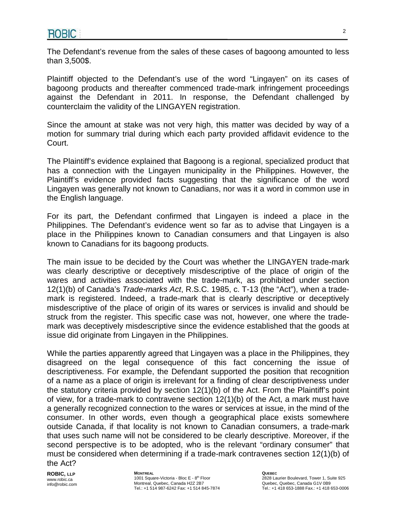The Defendant's revenue from the sales of these cases of bagoong amounted to less than 3,500\$.

Plaintiff objected to the Defendant's use of the word "Lingayen" on its cases of bagoong products and thereafter commenced trade-mark infringement proceedings against the Defendant in 2011. In response, the Defendant challenged by counterclaim the validity of the LINGAYEN registration.

Since the amount at stake was not very high, this matter was decided by way of a motion for summary trial during which each party provided affidavit evidence to the Court.

The Plaintiff's evidence explained that Bagoong is a regional, specialized product that has a connection with the Lingayen municipality in the Philippines. However, the Plaintiff's evidence provided facts suggesting that the significance of the word Lingayen was generally not known to Canadians, nor was it a word in common use in the English language.

For its part, the Defendant confirmed that Lingayen is indeed a place in the Philippines. The Defendant's evidence went so far as to advise that Lingayen is a place in the Philippines known to Canadian consumers and that Lingayen is also known to Canadians for its bagoong products.

The main issue to be decided by the Court was whether the LINGAYEN trade-mark was clearly descriptive or deceptively misdescriptive of the place of origin of the wares and activities associated with the trade-mark, as prohibited under section 12(1)(b) of Canada's Trade-marks Act, R.S.C. 1985, c. T-13 (the "Act"), when a trademark is registered. Indeed, a trade-mark that is clearly descriptive or deceptively misdescriptive of the place of origin of its wares or services is invalid and should be struck from the register. This specific case was not, however, one where the trademark was deceptively misdescriptive since the evidence established that the goods at issue did originate from Lingayen in the Philippines.

While the parties apparently agreed that Lingayen was a place in the Philippines, they disagreed on the legal consequence of this fact concerning the issue of descriptiveness. For example, the Defendant supported the position that recognition of a name as a place of origin is irrelevant for a finding of clear descriptiveness under the statutory criteria provided by section 12(1)(b) of the Act. From the Plaintiff's point of view, for a trade-mark to contravene section 12(1)(b) of the Act, a mark must have a generally recognized connection to the wares or services at issue, in the mind of the consumer. In other words, even though a geographical place exists somewhere outside Canada, if that locality is not known to Canadian consumers, a trade-mark that uses such name will not be considered to be clearly descriptive. Moreover, if the second perspective is to be adopted, who is the relevant "ordinary consumer" that must be considered when determining if a trade-mark contravenes section 12(1)(b) of the Act?

**ROBIC, LLP** www.robic.ca info@robic.com **MONTREAL** 1001 Square-Victoria - Bloc E - 8<sup>th</sup> Floor Montreal, Quebec, Canada H2Z 2B7 Tel.: +1 514 987-6242 Fax: +1 514 845-7874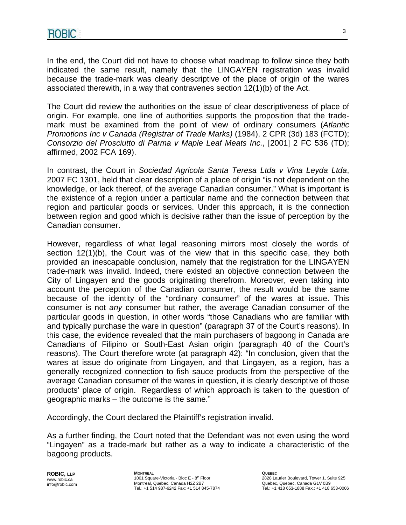In the end, the Court did not have to choose what roadmap to follow since they both indicated the same result, namely that the LINGAYEN registration was invalid because the trade-mark was clearly descriptive of the place of origin of the wares associated therewith, in a way that contravenes section 12(1)(b) of the Act.

The Court did review the authorities on the issue of clear descriptiveness of place of origin. For example, one line of authorities supports the proposition that the trademark must be examined from the point of view of ordinary consumers (Atlantic Promotions Inc v Canada (Registrar of Trade Marks) (1984), 2 CPR (3d) 183 (FCTD); Consorzio del Prosciutto di Parma v Maple Leaf Meats Inc., [2001] 2 FC 536 (TD); affirmed, 2002 FCA 169).

In contrast, the Court in Sociedad Agricola Santa Teresa Ltda v Vina Leyda Ltda, 2007 FC 1301, held that clear description of a place of origin "is not dependent on the knowledge, or lack thereof, of the average Canadian consumer." What is important is the existence of a region under a particular name and the connection between that region and particular goods or services. Under this approach, it is the connection between region and good which is decisive rather than the issue of perception by the Canadian consumer.

However, regardless of what legal reasoning mirrors most closely the words of section 12(1)(b), the Court was of the view that in this specific case, they both provided an inescapable conclusion, namely that the registration for the LINGAYEN trade-mark was invalid. Indeed, there existed an objective connection between the City of Lingayen and the goods originating therefrom. Moreover, even taking into account the perception of the Canadian consumer, the result would be the same because of the identity of the "ordinary consumer" of the wares at issue. This consumer is not any consumer but rather, the average Canadian consumer of the particular goods in question, in other words "those Canadians who are familiar with and typically purchase the ware in question" (paragraph 37 of the Court's reasons). In this case, the evidence revealed that the main purchasers of bagoong in Canada are Canadians of Filipino or South-East Asian origin (paragraph 40 of the Court's reasons). The Court therefore wrote (at paragraph 42): "In conclusion, given that the wares at issue do originate from Lingayen, and that Lingayen, as a region, has a generally recognized connection to fish sauce products from the perspective of the average Canadian consumer of the wares in question, it is clearly descriptive of those products' place of origin. Regardless of which approach is taken to the question of geographic marks – the outcome is the same."

Accordingly, the Court declared the Plaintiff's registration invalid.

As a further finding, the Court noted that the Defendant was not even using the word "Lingayen" as a trade-mark but rather as a way to indicate a characteristic of the bagoong products.

**ROBIC, LLP** www.robic.ca info@robic.com **MONTREAL** 1001 Square-Victoria - Bloc E - 8<sup>th</sup> Floor Montreal, Quebec, Canada H2Z 2B7 Tel.: +1 514 987-6242 Fax: +1 514 845-7874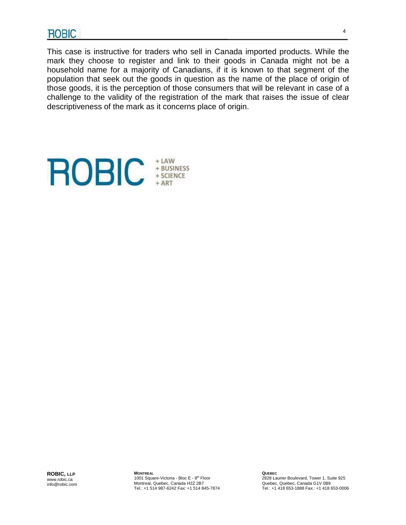This case is instructive for traders who sell in Canada imported products. While the mark they choose to register and link to their goods in Canada might not be a household name for a majority of Canadians, if it is known to that segment of the population that seek out the goods in question as the name of the place of origin of those goods, it is the perception of those consumers that will be relevant in case of a challenge to the validity of the registration of the mark that raises the issue of clear descriptiveness of the mark as it concerns place of origin.



**ROBIC, LLP** www.robic.ca info@robic.com **MONTREAL** 1001 Square-Victoria - Bloc E - 8<sup>th</sup> Floor Montreal, Quebec, Canada H2Z 2B7 Tel.: +1 514 987-6242 Fax: +1 514 845-7874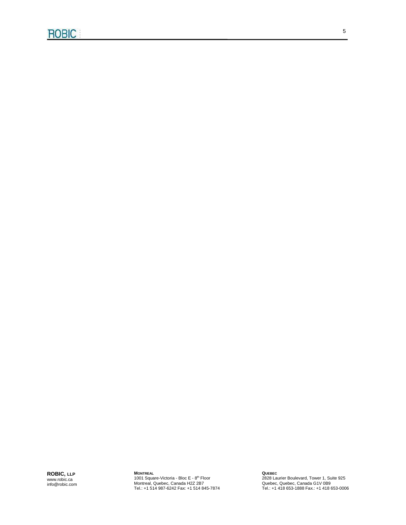**Montreal.**<br>1001 Square-Victoria - Bloc E - 8<sup>th</sup> Floor<br>Montreal, Quebec, Canada H2Z 2B7<br>Tel.: +1 514 987-6242 Fax: +1 514 845-7874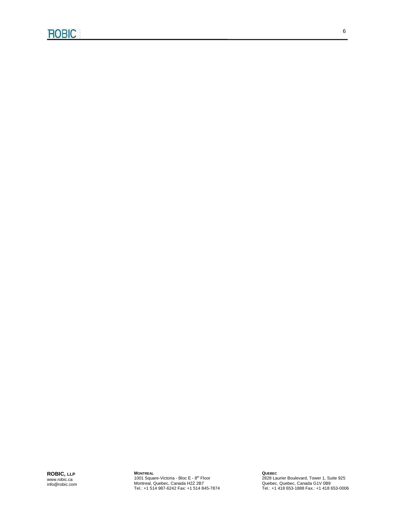**Montreal.**<br>1001 Square-Victoria - Bloc E - 8<sup>th</sup> Floor<br>Montreal, Quebec, Canada H2Z 2B7<br>Tel.: +1 514 987-6242 Fax: +1 514 845-7874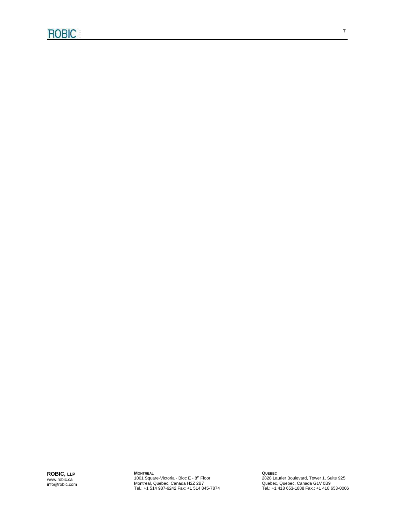**Montreal.**<br>1001 Square-Victoria - Bloc E - 8<sup>th</sup> Floor<br>Montreal, Quebec, Canada H2Z 2B7<br>Tel.: +1 514 987-6242 Fax: +1 514 845-7874